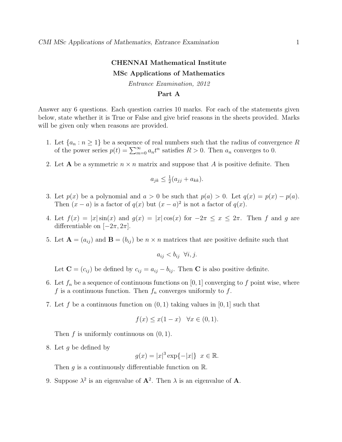## CHENNAI Mathematical Institute MSc Applications of Mathematics

Entrance Examination, 2012

## Part A

Answer any 6 questions. Each question carries 10 marks. For each of the statements given below, state whether it is True or False and give brief reasons in the sheets provided. Marks will be given only when reasons are provided.

- 1. Let  $\{a_n : n \geq 1\}$  be a sequence of real numbers such that the radius of convergence R of the power series  $p(t) = \sum_{m=0}^{\infty} a_n t^n$  satisfies  $R > 0$ . Then  $a_n$  converges to 0.
- 2. Let **A** be a symmetric  $n \times n$  matrix and suppose that A is positive definite. Then

$$
a_{jk} \leq \frac{1}{2}(a_{jj} + a_{kk}).
$$

- 3. Let  $p(x)$  be a polynomial and  $a > 0$  be such that  $p(a) > 0$ . Let  $q(x) = p(x) p(a)$ . Then  $(x - a)$  is a factor of  $q(x)$  but  $(x - a)^2$  is not a factor of  $q(x)$ .
- 4. Let  $f(x) = |x| \sin(x)$  and  $g(x) = |x| \cos(x)$  for  $-2\pi \le x \le 2\pi$ . Then f and g are differentiable on  $[-2\pi, 2\pi]$ .
- 5. Let  $\mathbf{A} = (a_{ij})$  and  $\mathbf{B} = (b_{ij})$  be  $n \times n$  matrices that are positive definite such that

$$
a_{ij} < b_{ij} \ \forall i, j.
$$

Let  $\mathbf{C} = (c_{ij})$  be defined by  $c_{ij} = a_{ij} - b_{ij}$ . Then **C** is also positive definite.

- 6. Let  $f_n$  be a sequence of continuous functions on [0, 1] converging to f point wise, where f is a continuous function. Then  $f_n$  converges uniformly to f.
- 7. Let f be a continuous function on  $(0, 1)$  taking values in  $[0, 1]$  such that

$$
f(x) \le x(1-x) \quad \forall x \in (0,1).
$$

Then  $f$  is uniformly continuous on  $(0, 1)$ .

8. Let g be defined by

$$
g(x) = |x|^3 \exp\{-|x|\} \quad x \in \mathbb{R}.
$$

Then g is a continuously differentiable function on  $\mathbb{R}$ .

9. Suppose  $\lambda^2$  is an eigenvalue of  $\mathbf{A}^2$ . Then  $\lambda$  is an eigenvalue of  $\mathbf{A}$ .